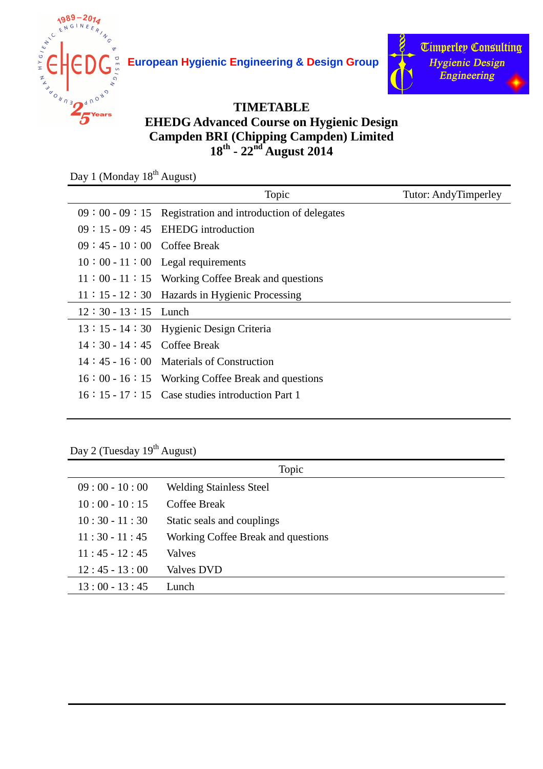

**European Hygienic Engineering & Design Group**



## **TIMETABLE EHEDG Advanced Course on Hygienic Design Campden BRI (Chipping Campden) Limited 18th - 22nd August 2014**

Day 1 (Monday 18<sup>th</sup> August)

| Topic                                                      | <b>Tutor: AndyTimperley</b> |
|------------------------------------------------------------|-----------------------------|
| $09:00 - 09:15$ Registration and introduction of delegates |                             |
| $09:15-09:45$ EHEDG introduction                           |                             |
| $09:45 - 10:00$ Coffee Break                               |                             |
| $10:00 - 11:00$ Legal requirements                         |                             |
| $11:00 - 11:15$ Working Coffee Break and questions         |                             |
| 11:15 - 12:30 Hazards in Hygienic Processing               |                             |
| $12:30 - 13:15$ Lunch                                      |                             |
| 13:15 - 14:30 Hygienic Design Criteria                     |                             |
| $14:30 - 14:45$ Coffee Break                               |                             |
| $14:45 - 16:00$ Materials of Construction                  |                             |
| $16:00 - 16:15$ Working Coffee Break and questions         |                             |
| $16:15 \cdot 17:15$ Case studies introduction Part 1       |                             |
|                                                            |                             |

## Day 2 (Tuesday 19<sup>th</sup> August)

|                 | Topic                              |
|-----------------|------------------------------------|
| $09:00 - 10:00$ | <b>Welding Stainless Steel</b>     |
| $10:00 - 10:15$ | Coffee Break                       |
| $10:30 - 11:30$ | Static seals and couplings         |
| $11:30 - 11:45$ | Working Coffee Break and questions |
| $11:45 - 12:45$ | Valves                             |
| $12:45 - 13:00$ | Valves DVD                         |
| $13:00 - 13:45$ | Lunch                              |